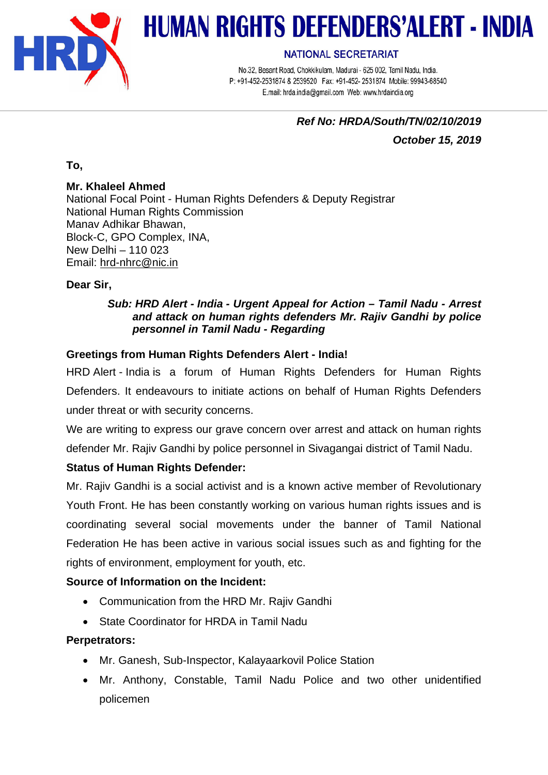

# **HUMAN RIGHTS DEFENDERS'ALERT - INDIA**

#### **NATIONAL SECRETARIAT**

No.32, Besant Road, Chokkikulam, Madurai - 625 002, Tamil Nadu, India. P: +91-452-2531874 & 2539520 Fax: +91-452-2531874 Mobile: 99943-68540 E.mail: hrda.india@gmail.com Web: www.hrdaindia.org

# *Ref No: HRDA/South/TN/02/10/2019 October 15, 2019*

**To,**

# **Mr. Khaleel Ahmed**

National Focal Point - Human Rights Defenders & Deputy Registrar National Human Rights Commission Manav Adhikar Bhawan, Block-C, GPO Complex, INA, New Delhi – 110 023 Email: [hrd-nhrc@nic.in](mailto:hrd-nhrc@nic.in)

# **Dear Sir,**

#### *Sub: HRD Alert - India - Urgent Appeal for Action – Tamil Nadu - Arrest and attack on human rights defenders Mr. Rajiv Gandhi by police personnel in Tamil Nadu - Regarding*

# **Greetings from Human Rights Defenders Alert - India!**

HRD Alert - India is a forum of Human Rights Defenders for Human Rights Defenders. It endeavours to initiate actions on behalf of Human Rights Defenders under threat or with security concerns.

We are writing to express our grave concern over arrest and attack on human rights defender Mr. Rajiv Gandhi by police personnel in Sivagangai district of Tamil Nadu.

# **Status of Human Rights Defender:**

Mr. Rajiv Gandhi is a social activist and is a known active member of Revolutionary Youth Front. He has been constantly working on various human rights issues and is coordinating several social movements under the banner of Tamil National Federation He has been active in various social issues such as and fighting for the rights of environment, employment for youth, etc.

# **Source of Information on the Incident:**

- Communication from the HRD Mr. Rajiv Gandhi
- State Coordinator for HRDA in Tamil Nadu

# **Perpetrators:**

- Mr. Ganesh, Sub-Inspector, Kalayaarkovil Police Station
- Mr. Anthony, Constable, Tamil Nadu Police and two other unidentified policemen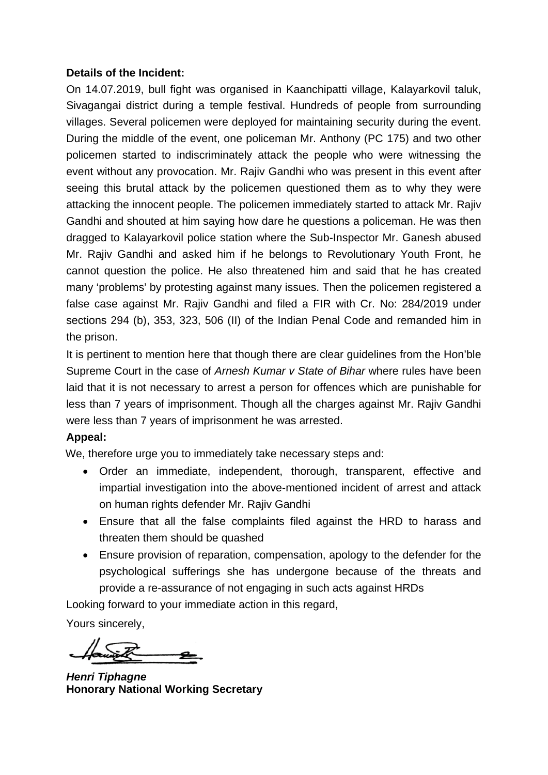#### **Details of the Incident:**

On 14.07.2019, bull fight was organised in Kaanchipatti village, Kalayarkovil taluk, Sivagangai district during a temple festival. Hundreds of people from surrounding villages. Several policemen were deployed for maintaining security during the event. During the middle of the event, one policeman Mr. Anthony (PC 175) and two other policemen started to indiscriminately attack the people who were witnessing the event without any provocation. Mr. Rajiv Gandhi who was present in this event after seeing this brutal attack by the policemen questioned them as to why they were attacking the innocent people. The policemen immediately started to attack Mr. Rajiv Gandhi and shouted at him saying how dare he questions a policeman. He was then dragged to Kalayarkovil police station where the Sub-Inspector Mr. Ganesh abused Mr. Rajiv Gandhi and asked him if he belongs to Revolutionary Youth Front, he cannot question the police. He also threatened him and said that he has created many 'problems' by protesting against many issues. Then the policemen registered a false case against Mr. Rajiv Gandhi and filed a FIR with Cr. No: 284/2019 under sections 294 (b), 353, 323, 506 (II) of the Indian Penal Code and remanded him in the prison.

It is pertinent to mention here that though there are clear guidelines from the Hon'ble Supreme Court in the case of *Arnesh Kumar v State of Bihar* where rules have been laid that it is not necessary to arrest a person for offences which are punishable for less than 7 years of imprisonment. Though all the charges against Mr. Rajiv Gandhi were less than 7 years of imprisonment he was arrested.

# **Appeal:**

We, therefore urge you to immediately take necessary steps and:

- Order an immediate, independent, thorough, transparent, effective and impartial investigation into the above-mentioned incident of arrest and attack on human rights defender Mr. Rajiv Gandhi
- Ensure that all the false complaints filed against the HRD to harass and threaten them should be quashed
- Ensure provision of reparation, compensation, apology to the defender for the psychological sufferings she has undergone because of the threats and provide a re-assurance of not engaging in such acts against HRDs

Looking forward to your immediate action in this regard,

Yours sincerely,

*Henri Tiphagne* **Honorary National Working Secretary**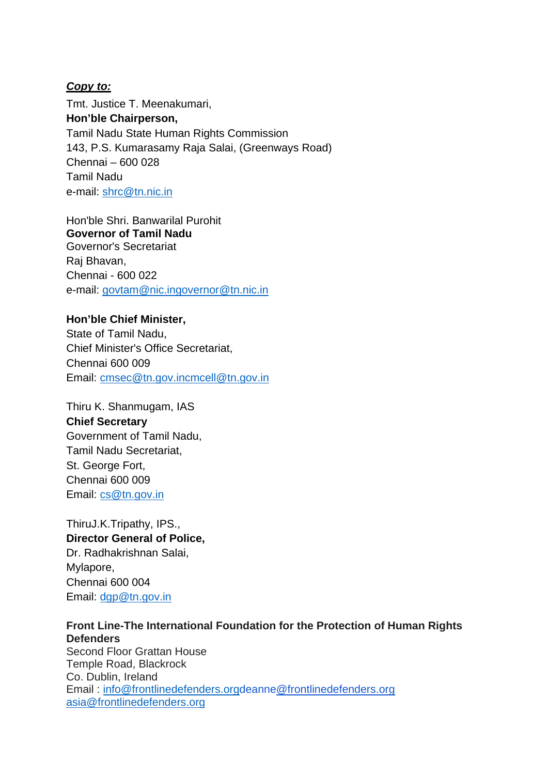#### *Copy to:*

Tmt. Justice T. Meenakumari, **Hon'ble Chairperson,** Tamil Nadu State Human Rights Commission 143, P.S. Kumarasamy Raja Salai, (Greenways Road) Chennai – 600 028 Tamil Nadu e-mail: [shrc@tn.nic.in](mailto:shrc@tn.nic.in)

Hon'ble Shri. Banwarilal Purohit **Governor of Tamil Nadu** Governor's Secretariat Raj Bhavan, Chennai - 600 022 e-mail: [g](mailto:govtam@nic.in)ovtam@nic.i[ngovernor@tn.nic.in](mailto:govtam@nic.in)

#### **Hon'ble Chief Minister,**

State of Tamil Nadu, Chief Minister's Office Secretariat, Chennai 600 009 Email: [c](mailto:cmsec@tn.gov.in)msec@tn.gov.i[ncmcell@tn.gov.in](mailto:cmsec@tn.gov.in)

Thiru K. Shanmugam, IAS **Chief Secretary** Government of Tamil Nadu, Tamil Nadu Secretariat, St. George Fort, Chennai 600 009 Email: [cs@tn.gov.in](mailto:cs@tn.gov.in)

ThiruJ.K.Tripathy, IPS., **Director General of Police,** Dr. Radhakrishnan Salai, Mylapore, Chennai 600 004 Email: [dgp@tn.gov.in](mailto:dgp@tn.gov.in)

# **Front Line-The International Foundation for the Protection of Human Rights Defenders**

Second Floor Grattan House Temple Road, Blackrock Co. Dublin, Ireland Email : [info@frontlinedefenders.orgdeanne@frontlinedefenders.org](mailto:info@frontlinedefenders.org) [asia@frontlinedefenders.org](mailto:asia@frontlinedefenders.org)